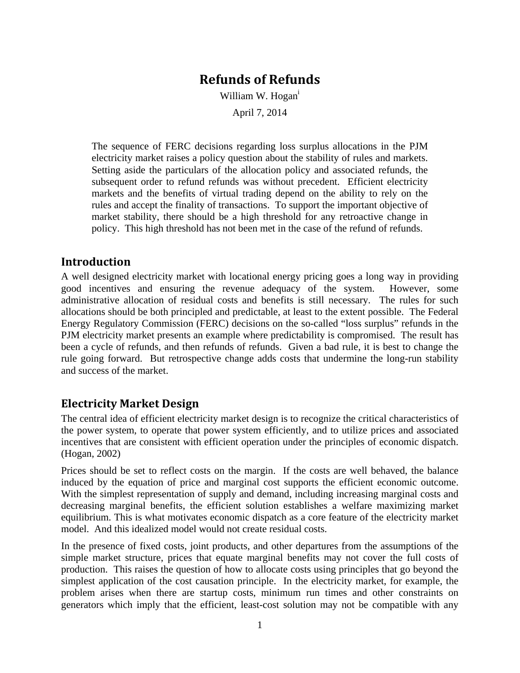# **Refunds of Refunds**

William W. Hogan<sup>i</sup> April 7, 2014

The sequence of FERC decisions regarding loss surplus allocations in the PJM electricity market raises a policy question about the stability of rules and markets. Setting aside the particulars of the allocation policy and associated refunds, the subsequent order to refund refunds was without precedent. Efficient electricity markets and the benefits of virtual trading depend on the ability to rely on the rules and accept the finality of transactions. To support the important objective of market stability, there should be a high threshold for any retroactive change in policy. This high threshold has not been met in the case of the refund of refunds.

#### **Introduction**

A well designed electricity market with locational energy pricing goes a long way in providing good incentives and ensuring the revenue adequacy of the system. However, some administrative allocation of residual costs and benefits is still necessary. The rules for such allocations should be both principled and predictable, at least to the extent possible. The Federal Energy Regulatory Commission (FERC) decisions on the so-called "loss surplus" refunds in the PJM electricity market presents an example where predictability is compromised. The result has been a cycle of refunds, and then refunds of refunds. Given a bad rule, it is best to change the rule going forward. But retrospective change adds costs that undermine the long-run stability and success of the market.

#### **Electricity Market Design**

The central idea of efficient electricity market design is to recognize the critical characteristics of the power system, to operate that power system efficiently, and to utilize prices and associated incentives that are consistent with efficient operation under the principles of economic dispatch. (Hogan, 2002)

Prices should be set to reflect costs on the margin. If the costs are well behaved, the balance induced by the equation of price and marginal cost supports the efficient economic outcome. With the simplest representation of supply and demand, including increasing marginal costs and decreasing marginal benefits, the efficient solution establishes a welfare maximizing market equilibrium. This is what motivates economic dispatch as a core feature of the electricity market model. And this idealized model would not create residual costs.

In the presence of fixed costs, joint products, and other departures from the assumptions of the simple market structure, prices that equate marginal benefits may not cover the full costs of production. This raises the question of how to allocate costs using principles that go beyond the simplest application of the cost causation principle. In the electricity market, for example, the problem arises when there are startup costs, minimum run times and other constraints on generators which imply that the efficient, least-cost solution may not be compatible with any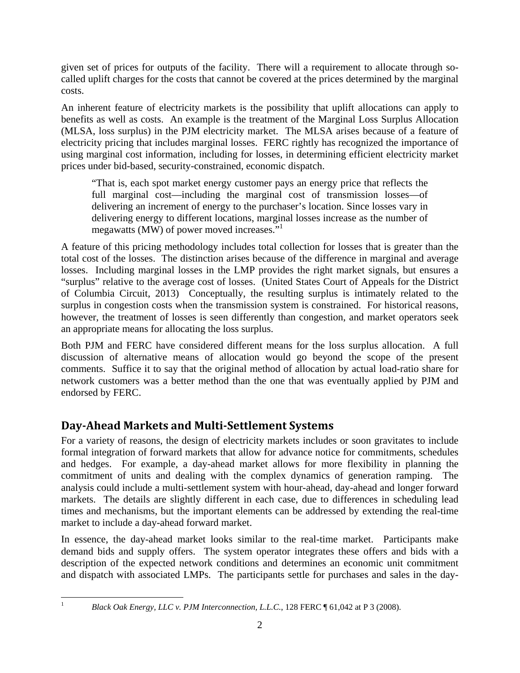given set of prices for outputs of the facility. There will a requirement to allocate through socalled uplift charges for the costs that cannot be covered at the prices determined by the marginal costs.

An inherent feature of electricity markets is the possibility that uplift allocations can apply to benefits as well as costs. An example is the treatment of the Marginal Loss Surplus Allocation (MLSA, loss surplus) in the PJM electricity market. The MLSA arises because of a feature of electricity pricing that includes marginal losses. FERC rightly has recognized the importance of using marginal cost information, including for losses, in determining efficient electricity market prices under bid-based, security-constrained, economic dispatch.

"That is, each spot market energy customer pays an energy price that reflects the full marginal cost—including the marginal cost of transmission losses—of delivering an increment of energy to the purchaser's location. Since losses vary in delivering energy to different locations, marginal losses increase as the number of megawatts (MW) of power moved increases."

A feature of this pricing methodology includes total collection for losses that is greater than the total cost of the losses. The distinction arises because of the difference in marginal and average losses. Including marginal losses in the LMP provides the right market signals, but ensures a "surplus" relative to the average cost of losses. (United States Court of Appeals for the District of Columbia Circuit, 2013) Conceptually, the resulting surplus is intimately related to the surplus in congestion costs when the transmission system is constrained. For historical reasons, however, the treatment of losses is seen differently than congestion, and market operators seek an appropriate means for allocating the loss surplus.

Both PJM and FERC have considered different means for the loss surplus allocation. A full discussion of alternative means of allocation would go beyond the scope of the present comments. Suffice it to say that the original method of allocation by actual load-ratio share for network customers was a better method than the one that was eventually applied by PJM and endorsed by FERC.

## **Day‐Ahead Markets and Multi‐Settlement Systems**

For a variety of reasons, the design of electricity markets includes or soon gravitates to include formal integration of forward markets that allow for advance notice for commitments, schedules and hedges. For example, a day-ahead market allows for more flexibility in planning the commitment of units and dealing with the complex dynamics of generation ramping. The analysis could include a multi-settlement system with hour-ahead, day-ahead and longer forward markets. The details are slightly different in each case, due to differences in scheduling lead times and mechanisms, but the important elements can be addressed by extending the real-time market to include a day-ahead forward market.

In essence, the day-ahead market looks similar to the real-time market. Participants make demand bids and supply offers. The system operator integrates these offers and bids with a description of the expected network conditions and determines an economic unit commitment and dispatch with associated LMPs. The participants settle for purchases and sales in the day-

 $\frac{1}{1}$ 

*Black Oak Energy, LLC v. PJM Interconnection, L.L.C.*, 128 FERC ¶ 61,042 at P 3 (2008).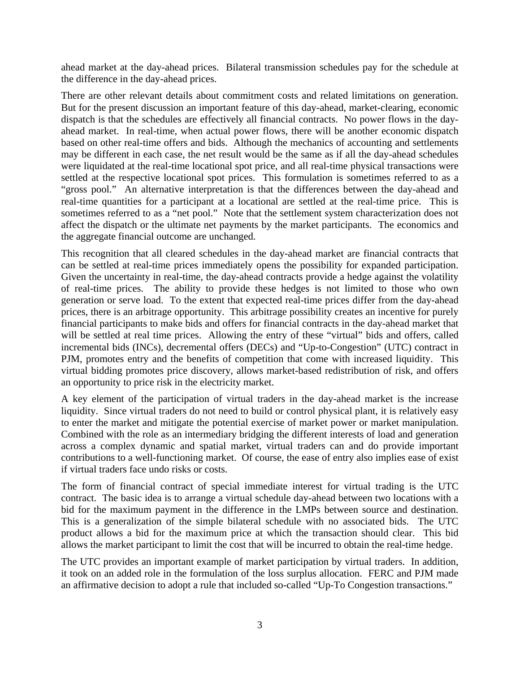ahead market at the day-ahead prices. Bilateral transmission schedules pay for the schedule at the difference in the day-ahead prices.

There are other relevant details about commitment costs and related limitations on generation. But for the present discussion an important feature of this day-ahead, market-clearing, economic dispatch is that the schedules are effectively all financial contracts. No power flows in the dayahead market. In real-time, when actual power flows, there will be another economic dispatch based on other real-time offers and bids. Although the mechanics of accounting and settlements may be different in each case, the net result would be the same as if all the day-ahead schedules were liquidated at the real-time locational spot price, and all real-time physical transactions were settled at the respective locational spot prices. This formulation is sometimes referred to as a "gross pool." An alternative interpretation is that the differences between the day-ahead and real-time quantities for a participant at a locational are settled at the real-time price. This is sometimes referred to as a "net pool." Note that the settlement system characterization does not affect the dispatch or the ultimate net payments by the market participants. The economics and the aggregate financial outcome are unchanged.

This recognition that all cleared schedules in the day-ahead market are financial contracts that can be settled at real-time prices immediately opens the possibility for expanded participation. Given the uncertainty in real-time, the day-ahead contracts provide a hedge against the volatility of real-time prices. The ability to provide these hedges is not limited to those who own generation or serve load. To the extent that expected real-time prices differ from the day-ahead prices, there is an arbitrage opportunity. This arbitrage possibility creates an incentive for purely financial participants to make bids and offers for financial contracts in the day-ahead market that will be settled at real time prices. Allowing the entry of these "virtual" bids and offers, called incremental bids (INCs), decremental offers (DECs) and "Up-to-Congestion" (UTC) contract in PJM, promotes entry and the benefits of competition that come with increased liquidity. This virtual bidding promotes price discovery, allows market-based redistribution of risk, and offers an opportunity to price risk in the electricity market.

A key element of the participation of virtual traders in the day-ahead market is the increase liquidity. Since virtual traders do not need to build or control physical plant, it is relatively easy to enter the market and mitigate the potential exercise of market power or market manipulation. Combined with the role as an intermediary bridging the different interests of load and generation across a complex dynamic and spatial market, virtual traders can and do provide important contributions to a well-functioning market. Of course, the ease of entry also implies ease of exist if virtual traders face undo risks or costs.

The form of financial contract of special immediate interest for virtual trading is the UTC contract. The basic idea is to arrange a virtual schedule day-ahead between two locations with a bid for the maximum payment in the difference in the LMPs between source and destination. This is a generalization of the simple bilateral schedule with no associated bids. The UTC product allows a bid for the maximum price at which the transaction should clear. This bid allows the market participant to limit the cost that will be incurred to obtain the real-time hedge.

The UTC provides an important example of market participation by virtual traders. In addition, it took on an added role in the formulation of the loss surplus allocation. FERC and PJM made an affirmative decision to adopt a rule that included so-called "Up-To Congestion transactions."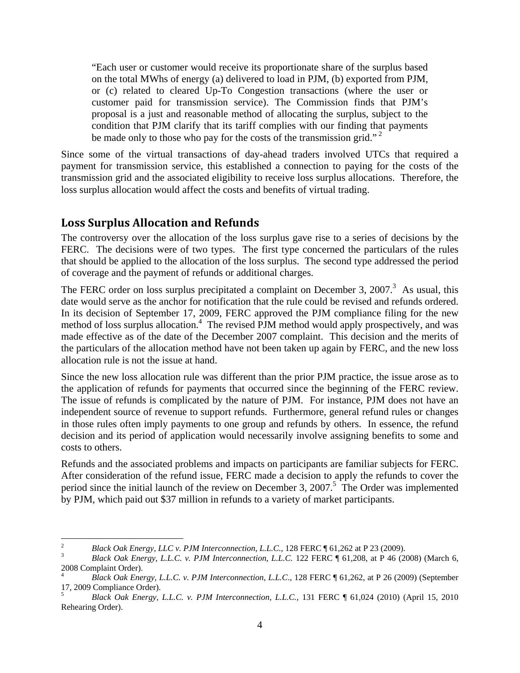"Each user or customer would receive its proportionate share of the surplus based on the total MWhs of energy (a) delivered to load in PJM, (b) exported from PJM, or (c) related to cleared Up-To Congestion transactions (where the user or customer paid for transmission service). The Commission finds that PJM's proposal is a just and reasonable method of allocating the surplus, subject to the condition that PJM clarify that its tariff complies with our finding that payments be made only to those who pay for the costs of the transmission grid."<sup>2</sup>

Since some of the virtual transactions of day-ahead traders involved UTCs that required a payment for transmission service, this established a connection to paying for the costs of the transmission grid and the associated eligibility to receive loss surplus allocations. Therefore, the loss surplus allocation would affect the costs and benefits of virtual trading.

## **Loss Surplus Allocation and Refunds**

The controversy over the allocation of the loss surplus gave rise to a series of decisions by the FERC. The decisions were of two types. The first type concerned the particulars of the rules that should be applied to the allocation of the loss surplus. The second type addressed the period of coverage and the payment of refunds or additional charges.

The FERC order on loss surplus precipitated a complaint on December 3, 2007.<sup>3</sup> As usual, this date would serve as the anchor for notification that the rule could be revised and refunds ordered. In its decision of September 17, 2009, FERC approved the PJM compliance filing for the new method of loss surplus allocation.<sup>4</sup> The revised PJM method would apply prospectively, and was made effective as of the date of the December 2007 complaint. This decision and the merits of the particulars of the allocation method have not been taken up again by FERC, and the new loss allocation rule is not the issue at hand.

Since the new loss allocation rule was different than the prior PJM practice, the issue arose as to the application of refunds for payments that occurred since the beginning of the FERC review. The issue of refunds is complicated by the nature of PJM. For instance, PJM does not have an independent source of revenue to support refunds. Furthermore, general refund rules or changes in those rules often imply payments to one group and refunds by others. In essence, the refund decision and its period of application would necessarily involve assigning benefits to some and costs to others.

Refunds and the associated problems and impacts on participants are familiar subjects for FERC. After consideration of the refund issue, FERC made a decision to apply the refunds to cover the period since the initial launch of the review on December 3,  $2007$ <sup>5</sup>. The Order was implemented by PJM, which paid out \$37 million in refunds to a variety of market participants.

 $\frac{1}{2}$ *Black Oak Energy, LLC v. PJM Interconnection, L.L.C.*, 128 FERC ¶ 61,262 at P 23 (2009).

*Black Oak Energy, L.L.C. v. PJM Interconnection, L.L.C.* 122 FERC ¶ 61,208, at P 46 (2008) (March 6, 2008 Complaint Order).

<sup>4</sup> *Black Oak Energy, L.L.C. v. PJM Interconnection, L.L.C*., 128 FERC ¶ 61,262, at P 26 (2009) (September 17, 2009 Compliance Order).

<sup>5</sup> *Black Oak Energy, L.L.C. v. PJM Interconnection, L.L.C.,* 131 FERC ¶ 61,024 (2010) (April 15, 2010 Rehearing Order).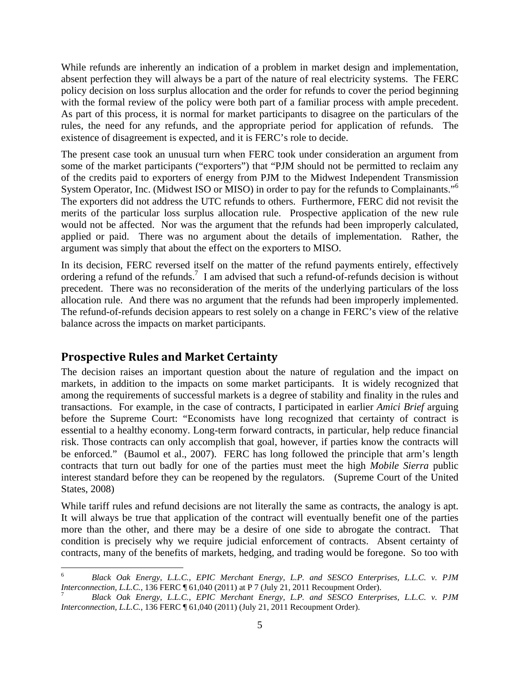While refunds are inherently an indication of a problem in market design and implementation, absent perfection they will always be a part of the nature of real electricity systems. The FERC policy decision on loss surplus allocation and the order for refunds to cover the period beginning with the formal review of the policy were both part of a familiar process with ample precedent. As part of this process, it is normal for market participants to disagree on the particulars of the rules, the need for any refunds, and the appropriate period for application of refunds. The existence of disagreement is expected, and it is FERC's role to decide.

The present case took an unusual turn when FERC took under consideration an argument from some of the market participants ("exporters") that "PJM should not be permitted to reclaim any of the credits paid to exporters of energy from PJM to the Midwest Independent Transmission System Operator, Inc. (Midwest ISO or MISO) in order to pay for the refunds to Complainants."<sup>6</sup> The exporters did not address the UTC refunds to others. Furthermore, FERC did not revisit the merits of the particular loss surplus allocation rule. Prospective application of the new rule would not be affected. Nor was the argument that the refunds had been improperly calculated, applied or paid. There was no argument about the details of implementation. Rather, the argument was simply that about the effect on the exporters to MISO.

In its decision, FERC reversed itself on the matter of the refund payments entirely, effectively ordering a refund of the refunds.<sup>7</sup> I am advised that such a refund-of-refunds decision is without precedent. There was no reconsideration of the merits of the underlying particulars of the loss allocation rule. And there was no argument that the refunds had been improperly implemented. The refund-of-refunds decision appears to rest solely on a change in FERC's view of the relative balance across the impacts on market participants.

## **Prospective Rules and Market Certainty**

<u>.</u>

The decision raises an important question about the nature of regulation and the impact on markets, in addition to the impacts on some market participants. It is widely recognized that among the requirements of successful markets is a degree of stability and finality in the rules and transactions. For example, in the case of contracts, I participated in earlier *Amici Brief* arguing before the Supreme Court: "Economists have long recognized that certainty of contract is essential to a healthy economy. Long-term forward contracts, in particular, help reduce financial risk. Those contracts can only accomplish that goal, however, if parties know the contracts will be enforced." (Baumol et al., 2007). FERC has long followed the principle that arm's length contracts that turn out badly for one of the parties must meet the high *Mobile Sierra* public interest standard before they can be reopened by the regulators. (Supreme Court of the United States, 2008)

While tariff rules and refund decisions are not literally the same as contracts, the analogy is apt. It will always be true that application of the contract will eventually benefit one of the parties more than the other, and there may be a desire of one side to abrogate the contract. That condition is precisely why we require judicial enforcement of contracts. Absent certainty of contracts, many of the benefits of markets, hedging, and trading would be foregone. So too with

<sup>6</sup> *Black Oak Energy, L.L.C., EPIC Merchant Energy, L.P. and SESCO Enterprises, L.L.C. v. PJM Interconnection, L.L.C.*, 136 FERC ¶ 61,040 (2011) at P 7 (July 21, 2011 Recoupment Order).

*Black Oak Energy, L.L.C., EPIC Merchant Energy, L.P. and SESCO Enterprises, L.L.C. v. PJM Interconnection, L.L.C.*, 136 FERC ¶ 61,040 (2011) (July 21, 2011 Recoupment Order).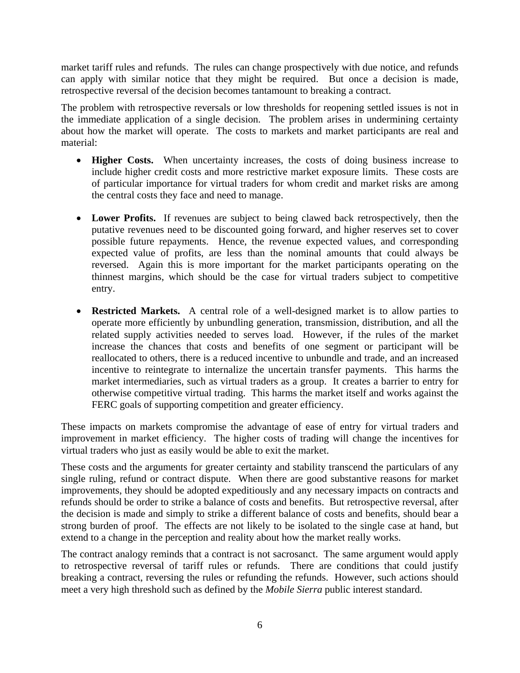market tariff rules and refunds. The rules can change prospectively with due notice, and refunds can apply with similar notice that they might be required. But once a decision is made, retrospective reversal of the decision becomes tantamount to breaking a contract.

The problem with retrospective reversals or low thresholds for reopening settled issues is not in the immediate application of a single decision. The problem arises in undermining certainty about how the market will operate. The costs to markets and market participants are real and material:

- **Higher Costs.** When uncertainty increases, the costs of doing business increase to include higher credit costs and more restrictive market exposure limits. These costs are of particular importance for virtual traders for whom credit and market risks are among the central costs they face and need to manage.
- **Lower Profits.** If revenues are subject to being clawed back retrospectively, then the putative revenues need to be discounted going forward, and higher reserves set to cover possible future repayments. Hence, the revenue expected values, and corresponding expected value of profits, are less than the nominal amounts that could always be reversed. Again this is more important for the market participants operating on the thinnest margins, which should be the case for virtual traders subject to competitive entry.
- **Restricted Markets.** A central role of a well-designed market is to allow parties to operate more efficiently by unbundling generation, transmission, distribution, and all the related supply activities needed to serves load. However, if the rules of the market increase the chances that costs and benefits of one segment or participant will be reallocated to others, there is a reduced incentive to unbundle and trade, and an increased incentive to reintegrate to internalize the uncertain transfer payments. This harms the market intermediaries, such as virtual traders as a group. It creates a barrier to entry for otherwise competitive virtual trading. This harms the market itself and works against the FERC goals of supporting competition and greater efficiency.

These impacts on markets compromise the advantage of ease of entry for virtual traders and improvement in market efficiency. The higher costs of trading will change the incentives for virtual traders who just as easily would be able to exit the market.

These costs and the arguments for greater certainty and stability transcend the particulars of any single ruling, refund or contract dispute. When there are good substantive reasons for market improvements, they should be adopted expeditiously and any necessary impacts on contracts and refunds should be order to strike a balance of costs and benefits. But retrospective reversal, after the decision is made and simply to strike a different balance of costs and benefits, should bear a strong burden of proof. The effects are not likely to be isolated to the single case at hand, but extend to a change in the perception and reality about how the market really works.

The contract analogy reminds that a contract is not sacrosanct. The same argument would apply to retrospective reversal of tariff rules or refunds. There are conditions that could justify breaking a contract, reversing the rules or refunding the refunds. However, such actions should meet a very high threshold such as defined by the *Mobile Sierra* public interest standard.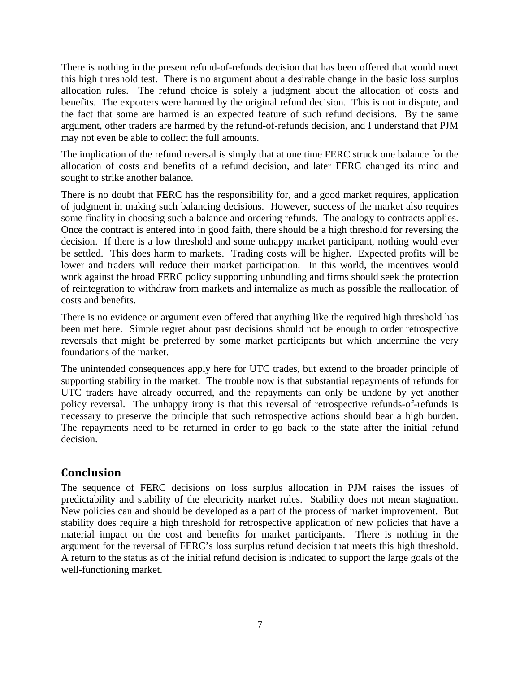There is nothing in the present refund-of-refunds decision that has been offered that would meet this high threshold test. There is no argument about a desirable change in the basic loss surplus allocation rules. The refund choice is solely a judgment about the allocation of costs and benefits. The exporters were harmed by the original refund decision. This is not in dispute, and the fact that some are harmed is an expected feature of such refund decisions. By the same argument, other traders are harmed by the refund-of-refunds decision, and I understand that PJM may not even be able to collect the full amounts.

The implication of the refund reversal is simply that at one time FERC struck one balance for the allocation of costs and benefits of a refund decision, and later FERC changed its mind and sought to strike another balance.

There is no doubt that FERC has the responsibility for, and a good market requires, application of judgment in making such balancing decisions. However, success of the market also requires some finality in choosing such a balance and ordering refunds. The analogy to contracts applies. Once the contract is entered into in good faith, there should be a high threshold for reversing the decision. If there is a low threshold and some unhappy market participant, nothing would ever be settled. This does harm to markets. Trading costs will be higher. Expected profits will be lower and traders will reduce their market participation. In this world, the incentives would work against the broad FERC policy supporting unbundling and firms should seek the protection of reintegration to withdraw from markets and internalize as much as possible the reallocation of costs and benefits.

There is no evidence or argument even offered that anything like the required high threshold has been met here. Simple regret about past decisions should not be enough to order retrospective reversals that might be preferred by some market participants but which undermine the very foundations of the market.

The unintended consequences apply here for UTC trades, but extend to the broader principle of supporting stability in the market. The trouble now is that substantial repayments of refunds for UTC traders have already occurred, and the repayments can only be undone by yet another policy reversal. The unhappy irony is that this reversal of retrospective refunds-of-refunds is necessary to preserve the principle that such retrospective actions should bear a high burden. The repayments need to be returned in order to go back to the state after the initial refund decision.

## **Conclusion**

The sequence of FERC decisions on loss surplus allocation in PJM raises the issues of predictability and stability of the electricity market rules. Stability does not mean stagnation. New policies can and should be developed as a part of the process of market improvement. But stability does require a high threshold for retrospective application of new policies that have a material impact on the cost and benefits for market participants. There is nothing in the argument for the reversal of FERC's loss surplus refund decision that meets this high threshold. A return to the status as of the initial refund decision is indicated to support the large goals of the well-functioning market.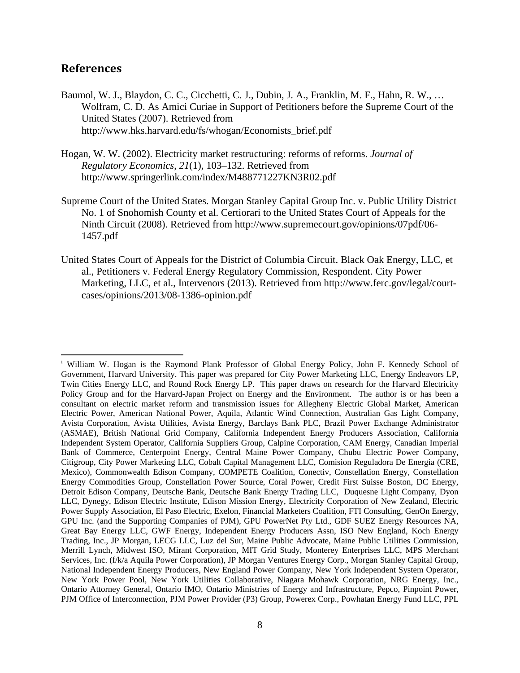#### **References**

 $\overline{a}$ 

- Baumol, W. J., Blaydon, C. C., Cicchetti, C. J., Dubin, J. A., Franklin, M. F., Hahn, R. W., … Wolfram, C. D. As Amici Curiae in Support of Petitioners before the Supreme Court of the United States (2007). Retrieved from http://www.hks.harvard.edu/fs/whogan/Economists\_brief.pdf
- Hogan, W. W. (2002). Electricity market restructuring: reforms of reforms. *Journal of Regulatory Economics*, *21*(1), 103–132. Retrieved from http://www.springerlink.com/index/M488771227KN3R02.pdf
- Supreme Court of the United States. Morgan Stanley Capital Group Inc. v. Public Utility District No. 1 of Snohomish County et al. Certiorari to the United States Court of Appeals for the Ninth Circuit (2008). Retrieved from http://www.supremecourt.gov/opinions/07pdf/06- 1457.pdf
- United States Court of Appeals for the District of Columbia Circuit. Black Oak Energy, LLC, et al., Petitioners v. Federal Energy Regulatory Commission, Respondent. City Power Marketing, LLC, et al., Intervenors (2013). Retrieved from http://www.ferc.gov/legal/courtcases/opinions/2013/08-1386-opinion.pdf

<sup>&</sup>lt;sup>i</sup> William W. Hogan is the Raymond Plank Professor of Global Energy Policy, John F. Kennedy School of Government, Harvard University. This paper was prepared for City Power Marketing LLC, Energy Endeavors LP, Twin Cities Energy LLC, and Round Rock Energy LP. This paper draws on research for the Harvard Electricity Policy Group and for the Harvard-Japan Project on Energy and the Environment. The author is or has been a consultant on electric market reform and transmission issues for Allegheny Electric Global Market, American Electric Power, American National Power, Aquila, Atlantic Wind Connection, Australian Gas Light Company, Avista Corporation, Avista Utilities, Avista Energy, Barclays Bank PLC, Brazil Power Exchange Administrator (ASMAE), British National Grid Company, California Independent Energy Producers Association, California Independent System Operator, California Suppliers Group, Calpine Corporation, CAM Energy, Canadian Imperial Bank of Commerce, Centerpoint Energy, Central Maine Power Company, Chubu Electric Power Company, Citigroup, City Power Marketing LLC, Cobalt Capital Management LLC, Comision Reguladora De Energia (CRE, Mexico), Commonwealth Edison Company, COMPETE Coalition, Conectiv, Constellation Energy, Constellation Energy Commodities Group, Constellation Power Source, Coral Power, Credit First Suisse Boston, DC Energy, Detroit Edison Company, Deutsche Bank, Deutsche Bank Energy Trading LLC, Duquesne Light Company, Dyon LLC, Dynegy, Edison Electric Institute, Edison Mission Energy, Electricity Corporation of New Zealand, Electric Power Supply Association, El Paso Electric, Exelon, Financial Marketers Coalition, FTI Consulting, GenOn Energy, GPU Inc. (and the Supporting Companies of PJM), GPU PowerNet Pty Ltd., GDF SUEZ Energy Resources NA, Great Bay Energy LLC, GWF Energy, Independent Energy Producers Assn, ISO New England, Koch Energy Trading, Inc., JP Morgan, LECG LLC, Luz del Sur, Maine Public Advocate, Maine Public Utilities Commission, Merrill Lynch, Midwest ISO, Mirant Corporation, MIT Grid Study, Monterey Enterprises LLC, MPS Merchant Services, Inc. (f/k/a Aquila Power Corporation), JP Morgan Ventures Energy Corp., Morgan Stanley Capital Group, National Independent Energy Producers, New England Power Company, New York Independent System Operator, New York Power Pool, New York Utilities Collaborative, Niagara Mohawk Corporation, NRG Energy, Inc., Ontario Attorney General, Ontario IMO, Ontario Ministries of Energy and Infrastructure, Pepco, Pinpoint Power, PJM Office of Interconnection, PJM Power Provider (P3) Group, Powerex Corp., Powhatan Energy Fund LLC, PPL